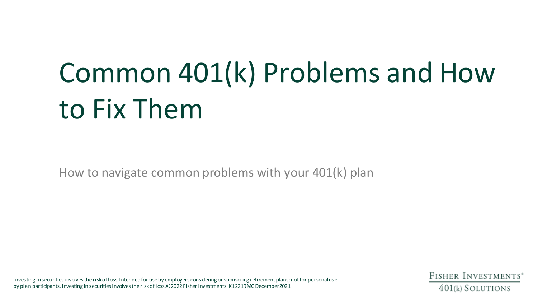# Common 401(k) Problems and How to Fix Them

How to navigate common problems with your 401(k) plan

Investing in securities involves the risk of loss. Intended for use by employers considering or sponsoring retirement plans; not for personal use by plan participants. Investing in securities involves the risk of loss.©2022 Fisher Investments. K12219MC December2021

**FISHER INVESTMENTS**<sup>\*</sup> 401(k) SOLUTIONS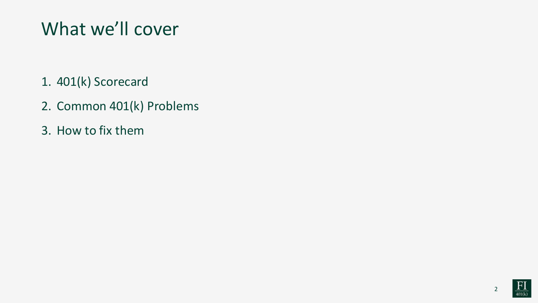### What we'll cover

- 1. 401(k) Scorecard
- 2. Common 401(k) Problems
- 3. How to fix them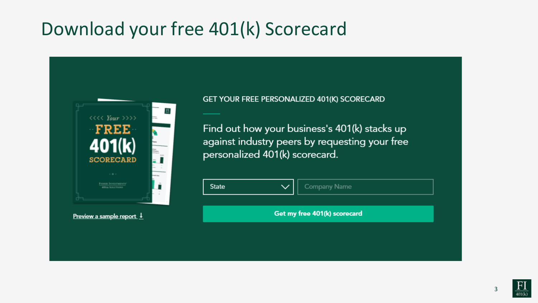### Download your free 401(k) Scorecard



#### Preview a sample report 1

#### GET YOUR FREE PERSONALIZED 401(K) SCORECARD

Find out how your business's 401(k) stacks up against industry peers by requesting your free personalized 401(k) scorecard.

| <b>State</b>                 |  | Company Name |  |  |
|------------------------------|--|--------------|--|--|
|                              |  |              |  |  |
| Get my free 401(k) scorecard |  |              |  |  |
|                              |  |              |  |  |

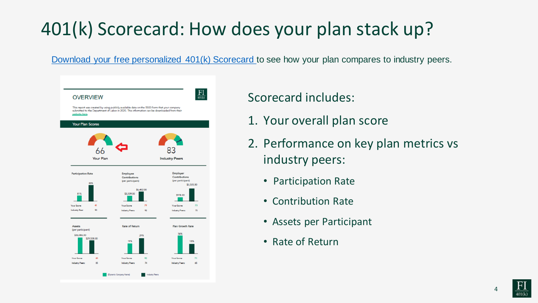### 401(k) Scorecard: How does your plan stack up?

[Download your free personalized 401\(k\) Scorecard t](https://resources.fisher401k.com/scorecard)o see how your plan compares to industry peers.



#### Scorecard includes:

- 1. Your overall plan score
- 2. Performance on key plan metrics vs industry peers:
	- Participation Rate
	- Contribution Rate
	- Assets per Participant
	- Rate of Return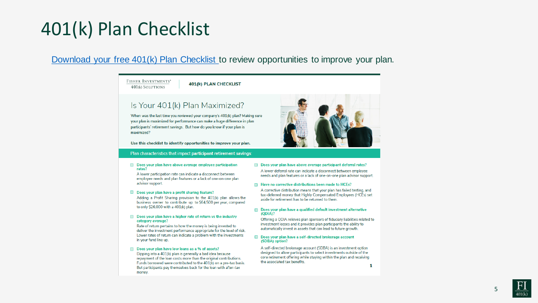#### 401(k) Plan Checklist

#### [Download your free 401\(k\) Plan Checklist t](https://resources.fisher401k.com/401k-Plan-Checklist)o review opportunities to improve your plan.

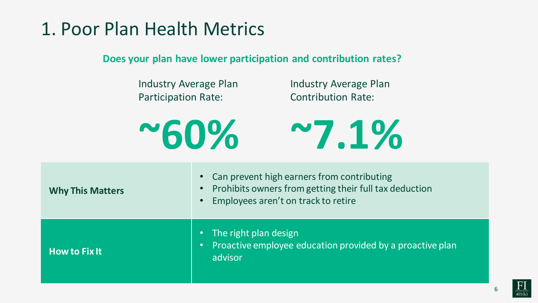### 1. Poor Plan Health Metrics

**Does your plan have lower participation and contribution rates?**

Industry Average Plan Participation Rate:

Industry Average Plan Contribution Rate:

**~60%**



| <b>Why This Matters</b> | Can prevent high earners from contributing<br>$\bullet$<br>Prohibits owners from getting their full tax deduction<br>$\bullet$<br>Employees aren't on track to retire<br>$\bullet$ |
|-------------------------|------------------------------------------------------------------------------------------------------------------------------------------------------------------------------------|
| <b>How to Fix It</b>    | The right plan design<br>Proactive employee education provided by a proactive plan<br><b>C</b><br>advisor                                                                          |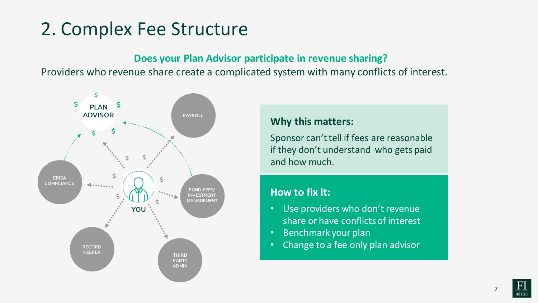### 2. Complex Fee Structure

#### **Does your Plan Advisor participate in revenue sharing?**

Providers who revenue share create a complicated system with many conflicts of interest.



#### **Why this matters:**

Sponsor can't tell if fees are reasonable if they don't understand who gets paid and how much.

#### **How to fix it:**

- Use providers who don't revenue share or have conflicts of interest
- Benchmark your plan
- Change to a fee only plan advisor

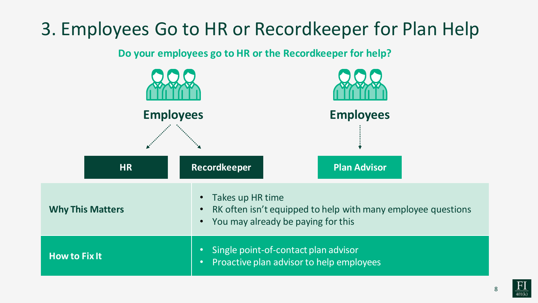### 3. Employees Go to HR or Recordkeeper for Plan Help

**Do your employees go to HR or the Recordkeeper for help?**

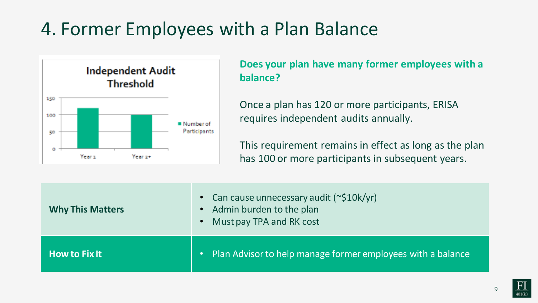### 4. Former Employees with a Plan Balance



**Does your plan have many former employees with a balance?**

Once a plan has 120 or more participants, ERISA requires independent audits annually.

This requirement remains in effect as long as the plan has 100 or more participants in subsequent years.

| <b>Why This Matters</b>                                     | • Can cause unnecessary audit $(\sim $10k/yr)$<br>Admin burden to the plan<br>Must pay TPA and RK cost<br>$\bullet$ |
|-------------------------------------------------------------|---------------------------------------------------------------------------------------------------------------------|
| $\overline{\mathsf{How}}$ to Fix It $\overline{\mathsf{H}}$ | Plan Advisor to help manage former employees with a balance<br>O                                                    |

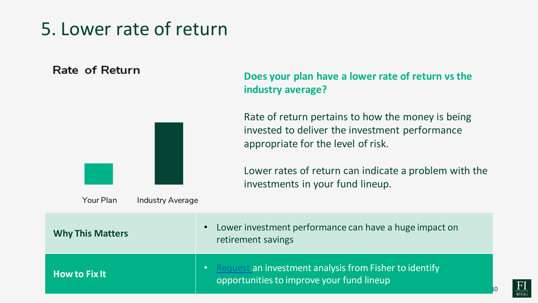### 5. Lower rate of return

#### Rate of Return



**Does your plan have a lower rate of return vs the industry average?**

Rate of return pertains to how the money is being invested to deliver the investment performance appropriate for the level of risk.

Lower rates of return can indicate a problem with the investments in your fund lineup.

| <b>Why This Matters</b> | Lower investment performance can have a huge impact on<br>$\bullet$<br>retirement savings                        |
|-------------------------|------------------------------------------------------------------------------------------------------------------|
| <b>How to Fix It</b>    | Request an investment analysis from Fisher to identify<br>$\bullet$<br>opportunities to improve your fund lineup |